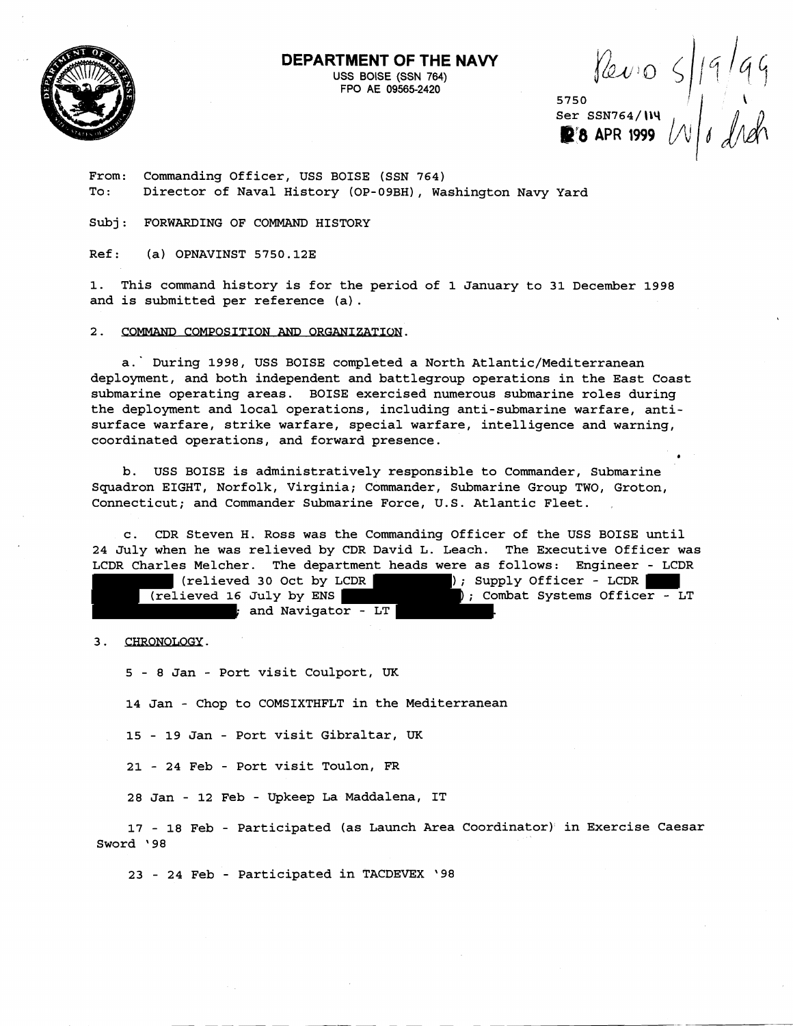

**DEPARTMENT OF THE NAVY** 

USS BOISE (SSN **764.)**  FPO **AE 09565-2420** 

Ser SSN764/**II**4 APR 1999 *V* 

From: Commanding Officer, USS BOISE (SSN 764) To: Director of Naval History (OP-09BH), Washington Navy Yard

Subj: FORWARDING OF COMMAND HISTORY

Ref: (a) OPNAVINST 5750.12E

1. This command history is for the period of 1 January to 31 December 1998 and is submitted per reference (a).

2. COMMAND COMPOSITION AND ORGANIZATION.

a.' During 1998, USS BOISE completed a North Atlantic/Mediterranean deployment, and both independent and battlegroup operations in the East Coast submarine operating areas. BOISE exercised numerous submarine roles during the deployment and local operations, including anti-submarine warfare, antisurface warfare, strike warfare, special warfare, intelligence and warning, coordinated operations, and forward presence.

b. USS BOISE is administratively responsible to Commander, Submarine Squadron EIGHT, Norfolk, Virginia; Commander, Submarine Group TWO, Groton, Connecticut; and Commander Submarine Force, U.S. Atlantic Fleet.

c. CDR Steven H. Ross was the Commanding Officer of the USS BOISE until 24 July when he was relieved by CDR David L. Leach. The Executive Officer was LCDR Charles Melcher. The department heads were as follows: Engineer - LCDR

 (relieved 30 Oct by LCDR ); Supply Officer - LCDR (relieved 16 July by ENS ); Combat Systems Officer - LT ; and Navigator -  $LT$  .

3. CHRONOLOGY.

5 - 8 Jan - Port visit Coulport, UK

14 Jan - Chop to COMSIXTHFLT in the Mediterranean

15 - 19 Jan - Port visit Gibraltar, UK

21 - 24 Feb - Port visit Toulon, FR

28 Jan - 12 Feb - Upkeep La Maddalena, IT

17 - 18 Feb - Participated (as Launch Area Coordinator) in Exercise Caesar Sword '98

23 - 24 Feb - Participated in TACDEVEX '98